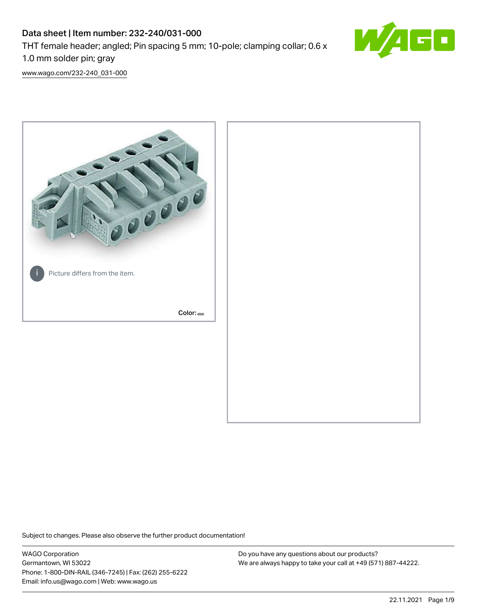# Data sheet | Item number: 232-240/031-000 THT female header; angled; Pin spacing 5 mm; 10-pole; clamping collar; 0.6 x 1.0 mm solder pin; gray



[www.wago.com/232-240\\_031-000](http://www.wago.com/232-240_031-000)



Subject to changes. Please also observe the further product documentation!

WAGO Corporation Germantown, WI 53022 Phone: 1-800-DIN-RAIL (346-7245) | Fax: (262) 255-6222 Email: info.us@wago.com | Web: www.wago.us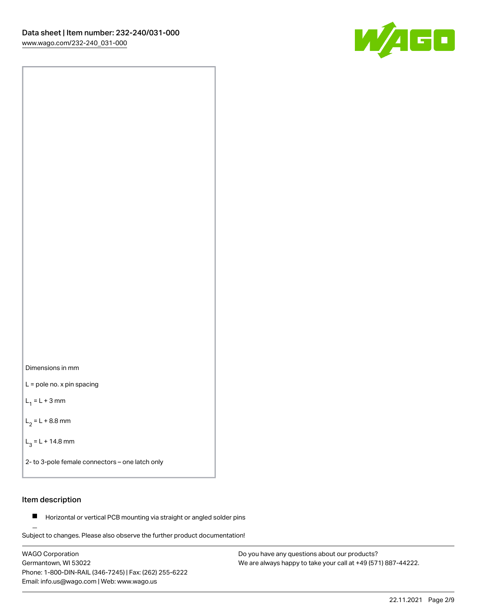

Dimensions in mm

L = pole no. x pin spacing

 $L_1 = L + 3$  mm

 $L_2 = L + 8.8$  mm

 $L_3 = L + 14.8$  mm

2- to 3-pole female connectors – one latch only

### Item description

**Horizontal or vertical PCB mounting via straight or angled solder pins** 

Subject to changes. Please also observe the further product documentation! For board-to-board and board-to-wire connections

WAGO Corporation Germantown, WI 53022 Phone: 1-800-DIN-RAIL (346-7245) | Fax: (262) 255-6222 Email: info.us@wago.com | Web: www.wago.us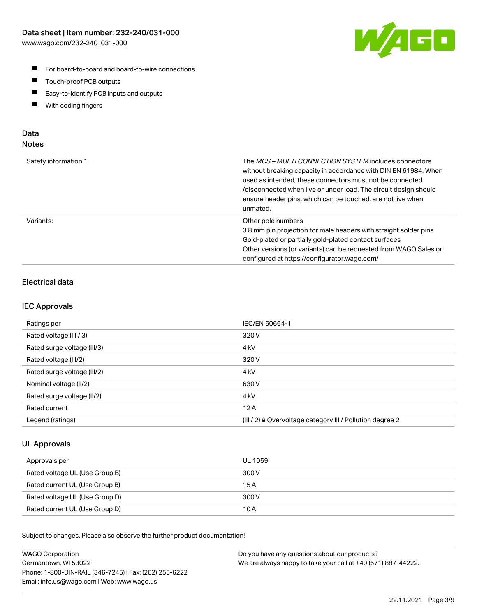

- For board-to-board and board-to-wire connections
- $\blacksquare$ Touch-proof PCB outputs
- $\blacksquare$ Easy-to-identify PCB inputs and outputs
- $\blacksquare$ With coding fingers

### Data **Notes**

| Safety information 1 | The <i>MCS – MULTI CONNECTION SYSTEM</i> includes connectors<br>without breaking capacity in accordance with DIN EN 61984. When<br>used as intended, these connectors must not be connected<br>/disconnected when live or under load. The circuit design should<br>ensure header pins, which can be touched, are not live when<br>unmated. |
|----------------------|--------------------------------------------------------------------------------------------------------------------------------------------------------------------------------------------------------------------------------------------------------------------------------------------------------------------------------------------|
| Variants:            | Other pole numbers<br>3.8 mm pin projection for male headers with straight solder pins<br>Gold-plated or partially gold-plated contact surfaces<br>Other versions (or variants) can be requested from WAGO Sales or<br>configured at https://configurator.wago.com/                                                                        |

### Electrical data

### IEC Approvals

| Ratings per                 | IEC/EN 60664-1                                                        |
|-----------------------------|-----------------------------------------------------------------------|
| Rated voltage (III / 3)     | 320 V                                                                 |
| Rated surge voltage (III/3) | 4 <sub>k</sub> V                                                      |
| Rated voltage (III/2)       | 320 V                                                                 |
| Rated surge voltage (III/2) | 4 <sub>k</sub> V                                                      |
| Nominal voltage (II/2)      | 630 V                                                                 |
| Rated surge voltage (II/2)  | 4 <sub>k</sub> V                                                      |
| Rated current               | 12A                                                                   |
| Legend (ratings)            | $(III / 2)$ $\triangle$ Overvoltage category III / Pollution degree 2 |

### UL Approvals

| Approvals per                  | UL 1059 |
|--------------------------------|---------|
| Rated voltage UL (Use Group B) | 300 V   |
| Rated current UL (Use Group B) | 15 A    |
| Rated voltage UL (Use Group D) | 300 V   |
| Rated current UL (Use Group D) | 10 A    |

| <b>WAGO Corporation</b>                                | Do you have any questions about our products?                 |
|--------------------------------------------------------|---------------------------------------------------------------|
| Germantown, WI 53022                                   | We are always happy to take your call at +49 (571) 887-44222. |
| Phone: 1-800-DIN-RAIL (346-7245)   Fax: (262) 255-6222 |                                                               |
| Email: info.us@wago.com   Web: www.wago.us             |                                                               |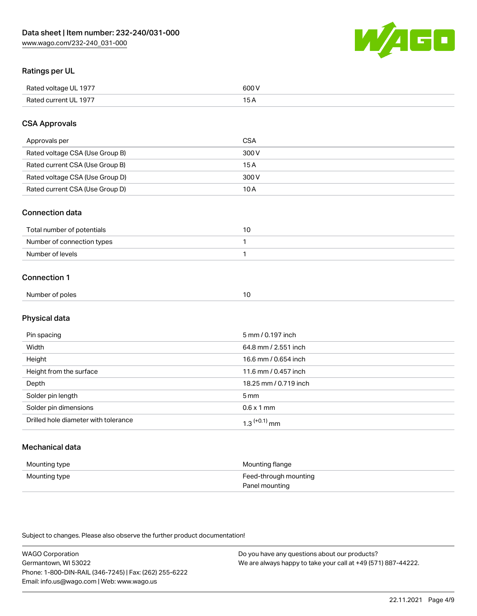

### Ratings per UL

| Rated voltage UL 1977                | COO V<br>ור |
|--------------------------------------|-------------|
| <b>Rated</b><br>UL 1977<br>curront l | ____        |

### CSA Approvals

| Approvals per                   | <b>CSA</b> |
|---------------------------------|------------|
| Rated voltage CSA (Use Group B) | 300 V      |
| Rated current CSA (Use Group B) | 15 A       |
| Rated voltage CSA (Use Group D) | 300 V      |
| Rated current CSA (Use Group D) | 10 A       |

#### Connection data

| Total number of potentials |  |
|----------------------------|--|
| Number of connection types |  |
| Number of levels           |  |

#### Connection 1

| Number of poles<br>10 |
|-----------------------|
|-----------------------|

# Physical data

| Pin spacing                          | 5 mm / 0.197 inch     |
|--------------------------------------|-----------------------|
| Width                                | 64.8 mm / 2.551 inch  |
| Height                               | 16.6 mm / 0.654 inch  |
| Height from the surface              | 11.6 mm / 0.457 inch  |
| Depth                                | 18.25 mm / 0.719 inch |
| Solder pin length                    | 5 <sub>mm</sub>       |
| Solder pin dimensions                | $0.6 \times 1$ mm     |
| Drilled hole diameter with tolerance | $1.3$ $(+0.1)$ mm     |

# Mechanical data

| Mounting type | Mounting flange                         |
|---------------|-----------------------------------------|
| Mounting type | Feed-through mounting<br>Panel mounting |

| <b>WAGO Corporation</b>                                | Do you have any questions about our products?                 |
|--------------------------------------------------------|---------------------------------------------------------------|
| Germantown, WI 53022                                   | We are always happy to take your call at +49 (571) 887-44222. |
| Phone: 1-800-DIN-RAIL (346-7245)   Fax: (262) 255-6222 |                                                               |
| Email: info.us@wago.com   Web: www.wago.us             |                                                               |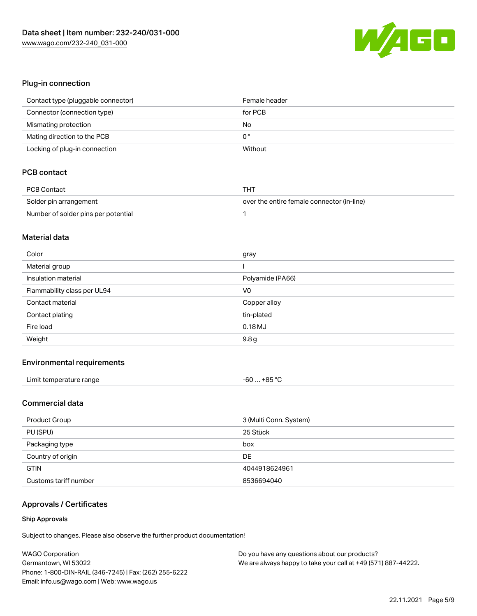

### Plug-in connection

| Contact type (pluggable connector) | Female header |
|------------------------------------|---------------|
| Connector (connection type)        | for PCB       |
| Mismating protection               | No            |
| Mating direction to the PCB        | 0°            |
| Locking of plug-in connection      | Without       |

### PCB contact

| PCB Contact                         | тнт                                        |
|-------------------------------------|--------------------------------------------|
| Solder pin arrangement              | over the entire female connector (in-line) |
| Number of solder pins per potential |                                            |

#### Material data

| Color                       | gray             |
|-----------------------------|------------------|
| Material group              |                  |
| Insulation material         | Polyamide (PA66) |
| Flammability class per UL94 | V <sub>0</sub>   |
| Contact material            | Copper alloy     |
| Contact plating             | tin-plated       |
| Fire load                   | 0.18MJ           |
|                             |                  |

#### Environmental requirements

| Limit temperature range | $-60+85 °C$ |
|-------------------------|-------------|
|-------------------------|-------------|

### Commercial data

| Product Group         | 3 (Multi Conn. System) |
|-----------------------|------------------------|
| PU (SPU)              | 25 Stück               |
| Packaging type        | box                    |
| Country of origin     | DE                     |
| <b>GTIN</b>           | 4044918624961          |
| Customs tariff number | 8536694040             |

# Approvals / Certificates

#### Ship Approvals

| <b>WAGO Corporation</b>                                | Do you have any questions about our products?                 |
|--------------------------------------------------------|---------------------------------------------------------------|
| Germantown, WI 53022                                   | We are always happy to take your call at +49 (571) 887-44222. |
| Phone: 1-800-DIN-RAIL (346-7245)   Fax: (262) 255-6222 |                                                               |
| Email: info.us@wago.com   Web: www.wago.us             |                                                               |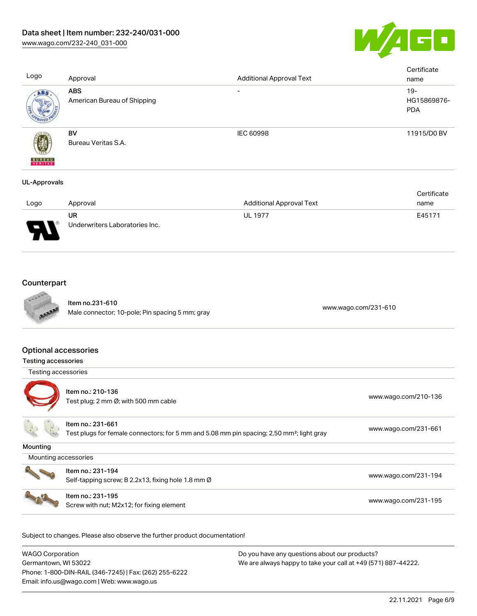

**Certificate** Logo Approval Approval Approval Approval Approval Text name ABS - 19-**ABS** American Bureau of Shipping HG15869876- PDA BV IEC 60998 11915/D0 BV Bureau Veritas S.A. **BUREAL** UL-Approvals

|      |                                |                                 | Certificate |
|------|--------------------------------|---------------------------------|-------------|
| Logo | Approval                       | <b>Additional Approval Text</b> | name        |
|      | UR                             | <b>UL 1977</b>                  | E45171      |
| J    | Underwriters Laboratories Inc. |                                 |             |

# **Counterpart**



Item no.231-610 nem 10.231-610<br>Male connector; 10-pole; Pin spacing 5 mm; gray [www.wago.com/231-610](https://www.wago.com/231-610)

#### Optional accessories

| Testing accessories  |                                                                                                                            |                      |
|----------------------|----------------------------------------------------------------------------------------------------------------------------|----------------------|
| Testing accessories  |                                                                                                                            |                      |
|                      | Item no.: 210-136<br>Test plug; 2 mm Ø; with 500 mm cable                                                                  | www.wago.com/210-136 |
|                      | Item no.: 231-661<br>Test plugs for female connectors; for 5 mm and 5.08 mm pin spacing; 2,50 mm <sup>2</sup> ; light gray | www.wago.com/231-661 |
| Mounting             |                                                                                                                            |                      |
| Mounting accessories |                                                                                                                            |                      |
|                      | Item no.: 231-194<br>Self-tapping screw; B 2.2x13, fixing hole 1.8 mm Ø                                                    | www.wago.com/231-194 |
|                      | Item no.: 231-195<br>Screw with nut; M2x12; for fixing element                                                             | www.wago.com/231-195 |

| <b>WAGO Corporation</b>                                | Do you have any questions about our products?                 |
|--------------------------------------------------------|---------------------------------------------------------------|
| Germantown, WI 53022                                   | We are always happy to take your call at +49 (571) 887-44222. |
| Phone: 1-800-DIN-RAIL (346-7245)   Fax: (262) 255-6222 |                                                               |
| Email: info.us@wago.com   Web: www.wago.us             |                                                               |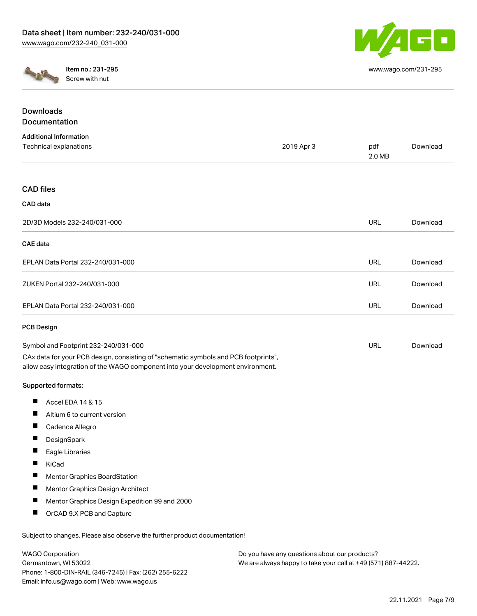

[www.wago.com/231-295](http://www.wago.com/231-295)



Item no.: 231-295 Screw with nut

| <b>Downloads</b>                                                                                                                                                       |            |               |          |
|------------------------------------------------------------------------------------------------------------------------------------------------------------------------|------------|---------------|----------|
| Documentation                                                                                                                                                          |            |               |          |
| <b>Additional Information</b>                                                                                                                                          |            |               |          |
| Technical explanations                                                                                                                                                 | 2019 Apr 3 | pdf<br>2.0 MB | Download |
| <b>CAD</b> files                                                                                                                                                       |            |               |          |
| CAD data                                                                                                                                                               |            |               |          |
| 2D/3D Models 232-240/031-000                                                                                                                                           |            | <b>URL</b>    | Download |
| <b>CAE</b> data                                                                                                                                                        |            |               |          |
| EPLAN Data Portal 232-240/031-000                                                                                                                                      |            | URL           | Download |
| ZUKEN Portal 232-240/031-000                                                                                                                                           |            | <b>URL</b>    | Download |
| EPLAN Data Portal 232-240/031-000                                                                                                                                      |            | URL           | Download |
| <b>PCB Design</b>                                                                                                                                                      |            |               |          |
| Symbol and Footprint 232-240/031-000                                                                                                                                   |            | URL           | Download |
| CAx data for your PCB design, consisting of "schematic symbols and PCB footprints",<br>allow easy integration of the WAGO component into your development environment. |            |               |          |
| Supported formats:                                                                                                                                                     |            |               |          |
| П<br>Accel EDA 14 & 15                                                                                                                                                 |            |               |          |
| ш<br>Altium 6 to current version                                                                                                                                       |            |               |          |
| $\blacksquare$<br>Cadence Allegro                                                                                                                                      |            |               |          |
| ш<br>DesignSpark                                                                                                                                                       |            |               |          |
| Ш<br>Eagle Libraries                                                                                                                                                   |            |               |          |
| Ш<br>KiCad                                                                                                                                                             |            |               |          |
| <b>Mentor Graphics BoardStation</b>                                                                                                                                    |            |               |          |
| Ш<br>Mentor Graphics Design Architect                                                                                                                                  |            |               |          |
| П<br>Mentor Graphics Design Expedition 99 and 2000                                                                                                                     |            |               |          |
| OrCAD 9.X PCB and Capture                                                                                                                                              |            |               |          |
|                                                                                                                                                                        |            |               |          |

Subject to changes. Please also observe the further product documentation!

| <b>WAGO Corporation</b>                                |
|--------------------------------------------------------|
| Germantown, WI 53022                                   |
| Phone: 1-800-DIN-RAIL (346-7245)   Fax: (262) 255-6222 |
| Email: info.us@wago.com   Web: www.wago.us             |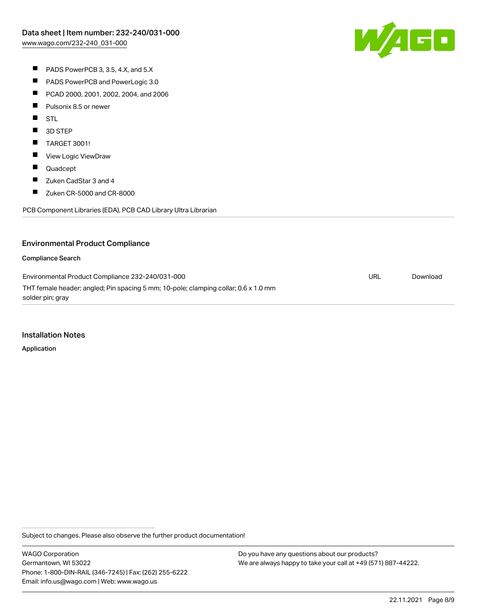W/AGC

- PADS PowerPCB 3, 3.5, 4.X, and 5.X
- $\blacksquare$ PADS PowerPCB and PowerLogic 3.0
- $\blacksquare$ PCAD 2000, 2001, 2002, 2004, and 2006
- $\blacksquare$ Pulsonix 8.5 or newer
- **STL**
- $\blacksquare$ 3D STEP
- $\blacksquare$ TARGET 3001!
- $\blacksquare$ View Logic ViewDraw
- $\blacksquare$ Quadcept
- $\blacksquare$ Zuken CadStar 3 and 4
- $\blacksquare$ Zuken CR-5000 and CR-8000

PCB Component Libraries (EDA), PCB CAD Library Ultra Librarian

### Environmental Product Compliance

#### Compliance Search

Environmental Product Compliance 232-240/031-000 THT female header; angled; Pin spacing 5 mm; 10-pole; clamping collar; 0.6 x 1.0 mm solder pin; gray URL [Download](https://www.wago.com/global/d/ComplianceLinkMediaContainer_232-240_031-000)

#### Installation Notes

Application

Subject to changes. Please also observe the further product documentation!